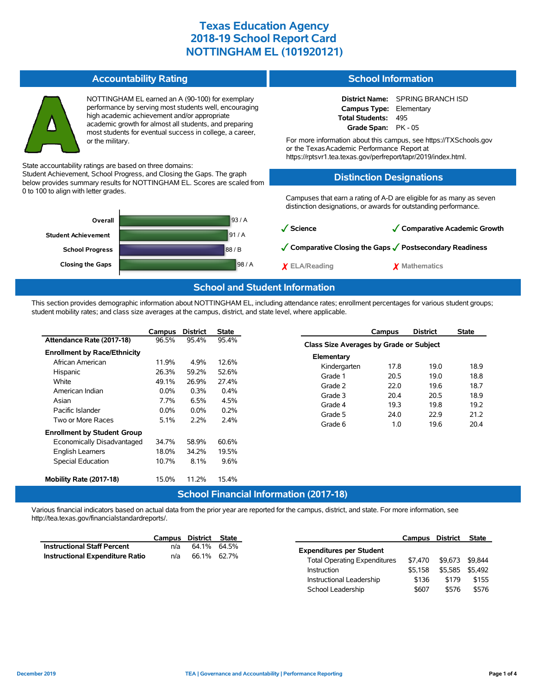## **Texas Education Agency 2018-19 School Report Card NOTTINGHAM EL (101920121)**

**School Information**

**Campus Type:** Elementary **Total Students:** 495 **Grade Span:** PK - 05 For more information about this campus, see https://TXSchools.gov

**Distinction Designations**

School Leadership  $$607$  \$576 \$576

or the TexasAcademic Performance Report at

https://rptsvr1.tea.texas.gov/perfreport/tapr/2019/index.html.

**District Name:** SPRING BRANCH ISD

#### **Accountability Rating**



NOTTINGHAM EL earned an A (90-100) for exemplary performance by serving most students well, encouraging high academic achievement and/or appropriate academic growth for almost all students, and preparing most students for eventual success in college, a career, or the military.

State accountability ratings are based on three domains:

Student Achievement, School Progress, and Closing the Gaps. The graph below provides summary results for NOTTINGHAM EL. Scores are scaled from 0 to 100 to align with letter grades.



### **School and Student Information**

This section provides demographic information about NOTTINGHAM EL, including attendance rates; enrollment percentages for various student groups; student mobility rates; and class size averages at the campus, district, and state level, where applicable.

|                                               | Campus  | <b>District</b> | <b>State</b> | Campus               | <b>District</b>                         | <b>State</b> |  |  |  |  |
|-----------------------------------------------|---------|-----------------|--------------|----------------------|-----------------------------------------|--------------|--|--|--|--|
| Attendance Rate (2017-18)                     | 96.5%   | 95.4%           | 95.4%        |                      | Class Size Averages by Grade or Subject |              |  |  |  |  |
| <b>Enrollment by Race/Ethnicity</b>           |         |                 |              | Elementary           |                                         |              |  |  |  |  |
| African American                              | 11.9%   | 4.9%            | 12.6%        | Kindergarten<br>17.8 | 19.0                                    | 18.9         |  |  |  |  |
| Hispanic                                      | 26.3%   | 59.2%           | 52.6%        | 20.5<br>Grade 1      | 19.0                                    | 18.8         |  |  |  |  |
| White                                         | 49.1%   | 26.9%           | 27.4%        |                      |                                         |              |  |  |  |  |
| American Indian                               | $0.0\%$ | 0.3%            | $0.4\%$      | Grade 2<br>22.0      | 19.6                                    | 18.7         |  |  |  |  |
| Asian                                         | 7.7%    | 6.5%            | 4.5%         | Grade 3<br>20.4      | 20.5                                    | 18.9         |  |  |  |  |
| Pacific Islander                              | $0.0\%$ | $0.0\%$         | 0.2%         | 19.3<br>Grade 4      | 19.8                                    | 19.2         |  |  |  |  |
| Two or More Races                             | 5.1%    | 2.2%            | 2.4%         | Grade 5<br>24.0      | 22.9                                    | 21.2         |  |  |  |  |
|                                               |         |                 |              | Grade 6<br>1.0       | 19.6                                    | 20.4         |  |  |  |  |
| <b>Enrollment by Student Group</b>            |         |                 |              |                      |                                         |              |  |  |  |  |
| Economically Disadvantaged                    | 34.7%   | 58.9%           | 60.6%        |                      |                                         |              |  |  |  |  |
| English Learners                              | 18.0%   | 34.2%           | 19.5%        |                      |                                         |              |  |  |  |  |
| Special Education                             | 10.7%   | 8.1%            | 9.6%         |                      |                                         |              |  |  |  |  |
|                                               |         |                 |              |                      |                                         |              |  |  |  |  |
| Mobility Rate (2017-18)                       | 15.0%   | 11.2%           | 15.4%        |                      |                                         |              |  |  |  |  |
| <b>School Financial Information (2017-18)</b> |         |                 |              |                      |                                         |              |  |  |  |  |

Various financial indicators based on actual data from the prior year are reported for the campus, district, and state. For more information, see http://tea.texas.gov/financialstandardreports/.

|                                    | Campus | District State |                                     | Campus  | District        | <b>State</b> |
|------------------------------------|--------|----------------|-------------------------------------|---------|-----------------|--------------|
| <b>Instructional Staff Percent</b> | n/a    | 64.1% 64.5%    | <b>Expenditures per Student</b>     |         |                 |              |
| Instructional Expenditure Ratio    | n/a    | 66.1% 62.7%    |                                     |         |                 |              |
|                                    |        |                | <b>Total Operating Expenditures</b> | \$7.470 | \$9.673 \$9.844 |              |
|                                    |        |                | Instruction                         | \$5.158 | \$5,585 \$5,492 |              |
|                                    |        |                | Instructional Leadership            | \$136   | \$179           | \$155        |

| December 2019 |  |  |
|---------------|--|--|
|               |  |  |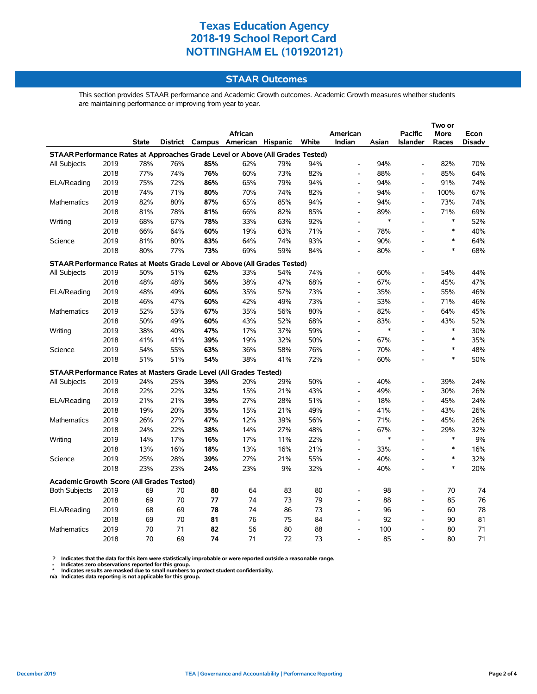# **Texas Education Agency 2018-19 School Report Card NOTTINGHAM EL (101920121)**

### **STAAR Outcomes**

This section provides STAAR performance and Academic Growth outcomes. Academic Growth measures whether students are maintaining performance or improving from year to year.

|                                                                                |      |       |     |     |                                   |     |       |                          |        |                          | Two or |        |
|--------------------------------------------------------------------------------|------|-------|-----|-----|-----------------------------------|-----|-------|--------------------------|--------|--------------------------|--------|--------|
|                                                                                |      |       |     |     | African                           |     |       | American                 |        | <b>Pacific</b>           | More   | Econ   |
|                                                                                |      | State |     |     | District Campus American Hispanic |     | White | Indian                   | Asian  | <b>Islander</b>          | Races  | Disadv |
| STAAR Performance Rates at Approaches Grade Level or Above (All Grades Tested) |      |       |     |     |                                   |     |       |                          |        |                          |        |        |
| All Subjects                                                                   | 2019 | 78%   | 76% | 85% | 62%                               | 79% | 94%   | $\overline{\phantom{a}}$ | 94%    | $\blacksquare$           | 82%    | 70%    |
|                                                                                | 2018 | 77%   | 74% | 76% | 60%                               | 73% | 82%   | $\overline{\phantom{a}}$ | 88%    | $\overline{\phantom{a}}$ | 85%    | 64%    |
| ELA/Reading                                                                    | 2019 | 75%   | 72% | 86% | 65%                               | 79% | 94%   | $\overline{a}$           | 94%    | $\overline{a}$           | 91%    | 74%    |
|                                                                                | 2018 | 74%   | 71% | 80% | 70%                               | 74% | 82%   | $\overline{a}$           | 94%    | $\overline{\phantom{a}}$ | 100%   | 67%    |
| <b>Mathematics</b>                                                             | 2019 | 82%   | 80% | 87% | 65%                               | 85% | 94%   | $\overline{a}$           | 94%    | $\overline{a}$           | 73%    | 74%    |
|                                                                                | 2018 | 81%   | 78% | 81% | 66%                               | 82% | 85%   | $\frac{1}{2}$            | 89%    | $\overline{a}$           | 71%    | 69%    |
| Writing                                                                        | 2019 | 68%   | 67% | 78% | 33%                               | 63% | 92%   | $\blacksquare$           | $\ast$ | $\blacksquare$           | $\ast$ | 52%    |
|                                                                                | 2018 | 66%   | 64% | 60% | 19%                               | 63% | 71%   | $\overline{\phantom{a}}$ | 78%    |                          | $\ast$ | 40%    |
| Science                                                                        | 2019 | 81%   | 80% | 83% | 64%                               | 74% | 93%   | $\overline{\phantom{a}}$ | 90%    |                          | $\ast$ | 64%    |
|                                                                                | 2018 | 80%   | 77% | 73% | 69%                               | 59% | 84%   | $\overline{\phantom{a}}$ | 80%    |                          | $\ast$ | 68%    |
| STAAR Performance Rates at Meets Grade Level or Above (All Grades Tested)      |      |       |     |     |                                   |     |       |                          |        |                          |        |        |
| <b>All Subjects</b>                                                            | 2019 | 50%   | 51% | 62% | 33%                               | 54% | 74%   | $\overline{a}$           | 60%    | $\overline{a}$           | 54%    | 44%    |
|                                                                                | 2018 | 48%   | 48% | 56% | 38%                               | 47% | 68%   | $\frac{1}{2}$            | 67%    | $\overline{\phantom{a}}$ | 45%    | 47%    |
| ELA/Reading                                                                    | 2019 | 48%   | 49% | 60% | 35%                               | 57% | 73%   | $\overline{a}$           | 35%    | $\blacksquare$           | 55%    | 46%    |
|                                                                                | 2018 | 46%   | 47% | 60% | 42%                               | 49% | 73%   | $\overline{\phantom{a}}$ | 53%    | $\overline{a}$           | 71%    | 46%    |
| Mathematics                                                                    | 2019 | 52%   | 53% | 67% | 35%                               | 56% | 80%   | $\blacksquare$           | 82%    | $\blacksquare$           | 64%    | 45%    |
|                                                                                | 2018 | 50%   | 49% | 60% | 43%                               | 52% | 68%   | $\blacksquare$           | 83%    | $\blacksquare$           | 43%    | 52%    |
| Writing                                                                        | 2019 | 38%   | 40% | 47% | 17%                               | 37% | 59%   | $\overline{\phantom{a}}$ | $\ast$ | $\overline{a}$           | $\ast$ | 30%    |
|                                                                                | 2018 | 41%   | 41% | 39% | 19%                               | 32% | 50%   | $\overline{a}$           | 67%    |                          | $\ast$ | 35%    |
| Science                                                                        | 2019 | 54%   | 55% | 63% | 36%                               | 58% | 76%   | $\overline{\phantom{a}}$ | 70%    |                          | $\ast$ | 48%    |
|                                                                                | 2018 | 51%   | 51% | 54% | 38%                               | 41% | 72%   | $\overline{a}$           | 60%    |                          | $\ast$ | 50%    |
| STAAR Performance Rates at Masters Grade Level (All Grades Tested)             |      |       |     |     |                                   |     |       |                          |        |                          |        |        |
| All Subjects                                                                   | 2019 | 24%   | 25% | 39% | 20%                               | 29% | 50%   | L,                       | 40%    | $\overline{a}$           | 39%    | 24%    |
|                                                                                | 2018 | 22%   | 22% | 32% | 15%                               | 21% | 43%   | $\overline{a}$           | 49%    | $\overline{a}$           | 30%    | 26%    |
| ELA/Reading                                                                    | 2019 | 21%   | 21% | 39% | 27%                               | 28% | 51%   | $\blacksquare$           | 18%    | $\blacksquare$           | 45%    | 24%    |
|                                                                                | 2018 | 19%   | 20% | 35% | 15%                               | 21% | 49%   | $\overline{a}$           | 41%    | $\overline{a}$           | 43%    | 26%    |
| Mathematics                                                                    | 2019 | 26%   | 27% | 47% | 12%                               | 39% | 56%   | $\blacksquare$           | 71%    | $\blacksquare$           | 45%    | 26%    |
|                                                                                | 2018 | 24%   | 22% | 38% | 14%                               | 27% | 48%   | $\blacksquare$           | 67%    | $\blacksquare$           | 29%    | 32%    |
| Writing                                                                        | 2019 | 14%   | 17% | 16% | 17%                               | 11% | 22%   | $\overline{\phantom{0}}$ | $\ast$ | $\overline{a}$           | $\ast$ | $9\%$  |
|                                                                                | 2018 | 13%   | 16% | 18% | 13%                               | 16% | 21%   | $\overline{a}$           | 33%    | $\overline{a}$           | $\ast$ | 16%    |
| Science                                                                        | 2019 | 25%   | 28% | 39% | 27%                               | 21% | 55%   | $\blacksquare$           | 40%    | $\blacksquare$           | $\ast$ | 32%    |
|                                                                                | 2018 | 23%   | 23% | 24% | 23%                               | 9%  | 32%   | $\overline{\phantom{a}}$ | 40%    | $\overline{\phantom{a}}$ | $\ast$ | 20%    |
| <b>Academic Growth Score (All Grades Tested)</b>                               |      |       |     |     |                                   |     |       |                          |        |                          |        |        |
| <b>Both Subjects</b>                                                           | 2019 | 69    | 70  | 80  | 64                                | 83  | 80    |                          | 98     |                          | 70     | 74     |
|                                                                                | 2018 | 69    | 70  | 77  | 74                                | 73  | 79    | $\overline{a}$           | 88     | $\blacksquare$           | 85     | 76     |
| ELA/Reading                                                                    | 2019 | 68    | 69  | 78  | 74                                | 86  | 73    | $\overline{a}$           | 96     | $\overline{a}$           | 60     | 78     |
|                                                                                | 2018 | 69    | 70  | 81  | 76                                | 75  | 84    | $\overline{\phantom{a}}$ | 92     | $\blacksquare$           | 90     | 81     |
| Mathematics                                                                    | 2019 | 70    | 71  | 82  | 56                                | 80  | 88    | $\overline{\phantom{a}}$ | 100    | $\overline{\phantom{a}}$ | 80     | 71     |
|                                                                                | 2018 | 70    | 69  | 74  | 71                                | 72  | 73    | $\overline{a}$           | 85     | $\overline{a}$           | 80     | 71     |

? Indicates that the data for this item were statistically improbable or were reported outside a reasonable range.<br>- Indicates zero observations reported for this group.<br>\* Indicates results are masked due to small numbers